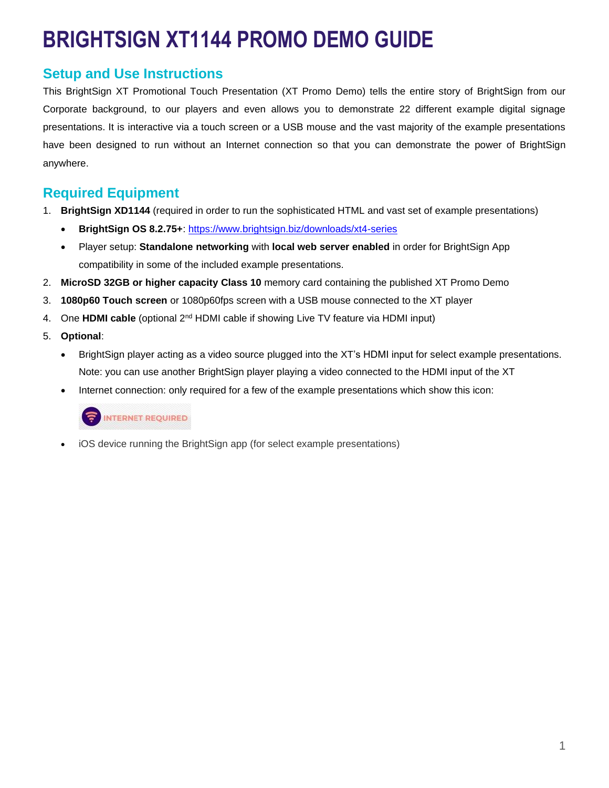# **BRIGHTSIGN XT1144 PROMO DEMO GUIDE**

# **Setup and Use Instructions**

This BrightSign XT Promotional Touch Presentation (XT Promo Demo) tells the entire story of BrightSign from our Corporate background, to our players and even allows you to demonstrate 22 different example digital signage presentations. It is interactive via a touch screen or a USB mouse and the vast majority of the example presentations have been designed to run without an Internet connection so that you can demonstrate the power of BrightSign anywhere.

## **Required Equipment**

- 1. **BrightSign XD1144** (required in order to run the sophisticated HTML and vast set of example presentations)
	- **BrightSign OS 8.2.75+**:<https://www.brightsign.biz/downloads/xt4-series>
	- Player setup: **Standalone networking** with **local web server enabled** in order for BrightSign App compatibility in some of the included example presentations.
- 2. **MicroSD 32GB or higher capacity Class 10** memory card containing the published XT Promo Demo
- 3. **1080p60 Touch screen** or 1080p60fps screen with a USB mouse connected to the XT player
- 4. One **HDMI cable** (optional 2nd HDMI cable if showing Live TV feature via HDMI input)
- 5. **Optional**:
	- BrightSign player acting as a video source plugged into the XT's HDMI input for select example presentations. Note: you can use another BrightSign player playing a video connected to the HDMI input of the XT
	- Internet connection: only required for a few of the example presentations which show this icon:

### INTERNET REQUIRED

• iOS device running the BrightSign app (for select example presentations)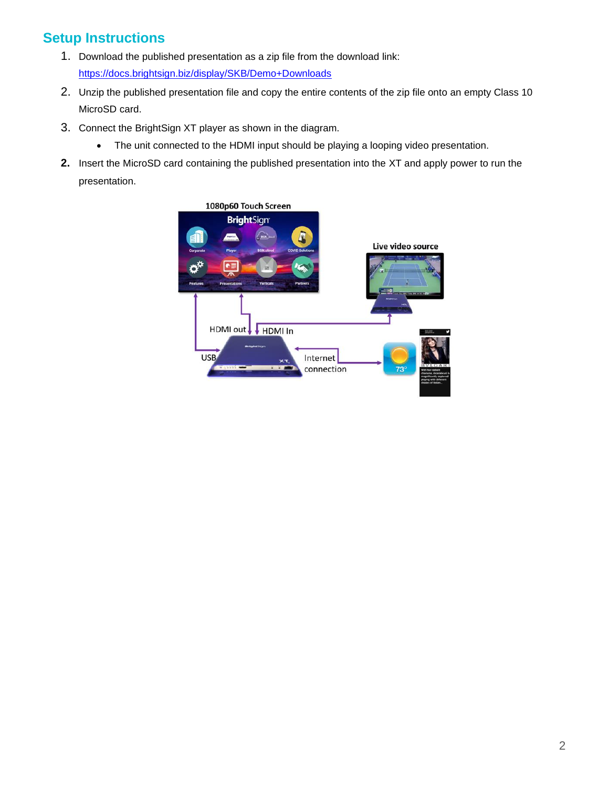# **Setup Instructions**

- 1. Download the published presentation as a zip file from the download link: <https://docs.brightsign.biz/display/SKB/Demo+Downloads>
- 2. Unzip the published presentation file and copy the entire contents of the zip file onto an empty Class 10 MicroSD card.
- 3. Connect the BrightSign XT player as shown in the diagram.
	- The unit connected to the HDMI input should be playing a looping video presentation.
- **2.** Insert the MicroSD card containing the published presentation into the XT and apply power to run the presentation.

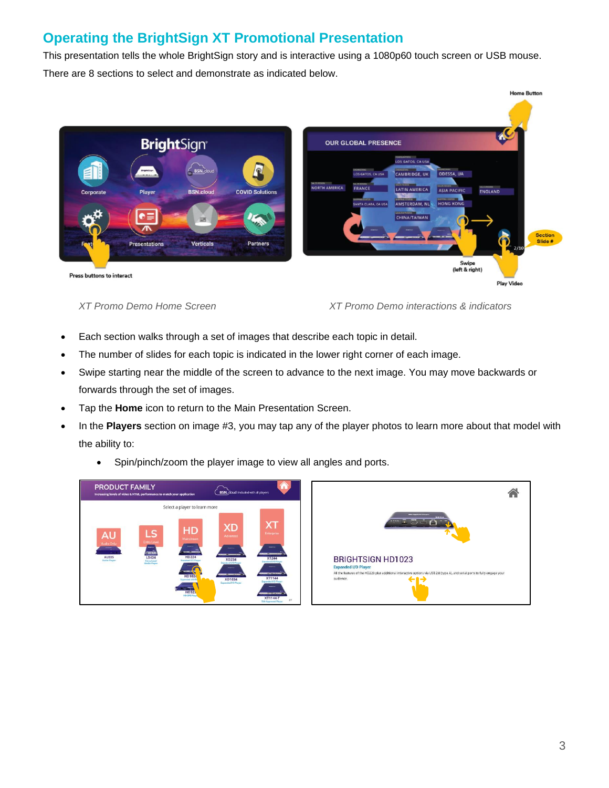# **Operating the BrightSign XT Promotional Presentation**

This presentation tells the whole BrightSign story and is interactive using a 1080p60 touch screen or USB mouse. There are 8 sections to select and demonstrate as indicated below.



*XT Promo Demo Home Screen XT Promo Demo interactions & indicators*

- Each section walks through a set of images that describe each topic in detail.
- The number of slides for each topic is indicated in the lower right corner of each image.
- Swipe starting near the middle of the screen to advance to the next image. You may move backwards or forwards through the set of images.
- Tap the **Home** icon to return to the Main Presentation Screen.
- In the **Players** section on image #3, you may tap any of the player photos to learn more about that model with the ability to:
	- Spin/pinch/zoom the player image to view all angles and ports.



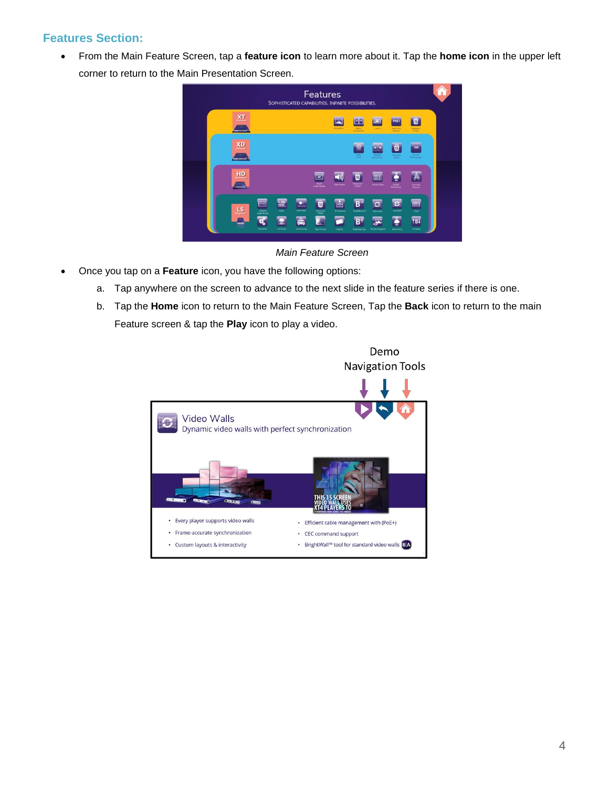#### **Features Section:**

• From the Main Feature Screen, tap a **feature icon** to learn more about it. Tap the **home icon** in the upper left corner to return to the Main Presentation Screen.



*Main Feature Screen*

- Once you tap on a **Feature** icon, you have the following options:
	- a. Tap anywhere on the screen to advance to the next slide in the feature series if there is one.
	- b. Tap the **Home** icon to return to the Main Feature Screen, Tap the **Back** icon to return to the main Feature screen & tap the **Play** icon to play a video.